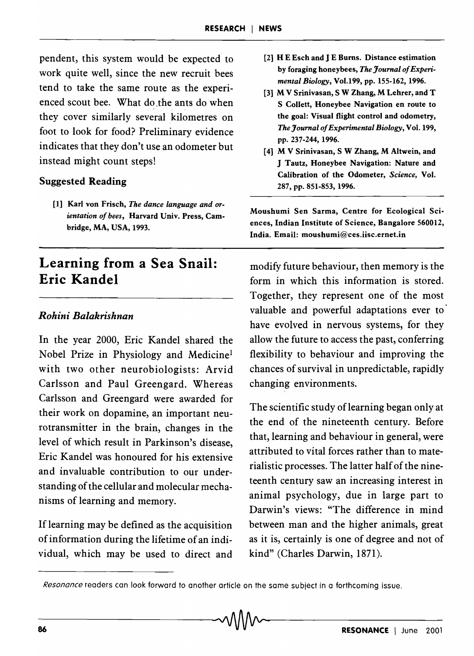pendent, this system would be expected to work quite well, since the new recruit bees tend to take the same route as the experienced scout bee. What do the ants do when they cover similarly several kilometres on foot to look for food? Preliminary evidence indicates that they don't use an odometer but instead might count steps!

## Suggested Reading

[1] Karl von Frisch, *The dance language and orientation of bees,* Harvard Univ. Press, Cambridge, MA, USA, 1993.

## Learning from a Sea Snail: Eric Kandel

## *Rohini Balakrishnan*

In the year 2000, Eric Kandel shared the Nobel Prize in Physiology and Medicine<sup>l</sup> with two other neurobiologists: Arvid Carlsson and Paul Greengard. Whereas Carlsson and Greengard were awarded for their work on dopamine, an important neurotransmitter in the brain, changes in the level of which result in Parkinson's disease, Eric Kandel was honoured for his extensive and invaluable contribution to our understanding of the cellular and molecular mechanisms of learning and memory.

If learning may be defined as the acquisition of information during the lifetime of an individual, which may be used to direct and

- [2] HEEsch and J E Bums. Distance estimation by foraging honeybees, *The Journal of Experimental Biology,* Vo1.199, pp. 155-162, 1996.
- [3] M V Srinivasan, S W Zhang, M Lehrer, and T S Collett, Honeybee Navigation en route to the goal: Visual flight control and odometry, *The Journal of Experimental Biology,* Vol. 199, pp. 237-244, 1996.
- [4] M V Srinivasan, S W Zhang, M Altwein, and J Tautz, Honeybee Navigation: Nature and Calibration of the Odometer, *Science,* Vol. 287, pp. 851-853, 1996.

Moushumi Sen Sarma, Centre for Ecological Sciences, Indian Institute of Science, Bangalore 560012, India. Email: moushumi@ces.iisc.ernet.in

modify future behaviour, then memory is the form in which this information is stored. Together, they represent one of the most valuable and powerful adaptations ever to have evolved in nervous systems, for they allow the future to access the past, conferring flexibility to behaviour and improving the chances of survival in unpredictable, rapidly changing environments.

The scientific study of learning began only at the end of the nineteenth century. Before that, learning and behaviour in general, were attributed to vital forces rather than to materialistic processes. The latter half of the nineteenth century saw an increasing interest in animal psychology, due in large part to Darwin's views: "The difference in mind between man and the higher animals, great as it is, certainly is one of degree and not of kind" (Charles Darwin, 1871).

*Resonance* readers can look forward to another article on the same subject in a forthcoming issue.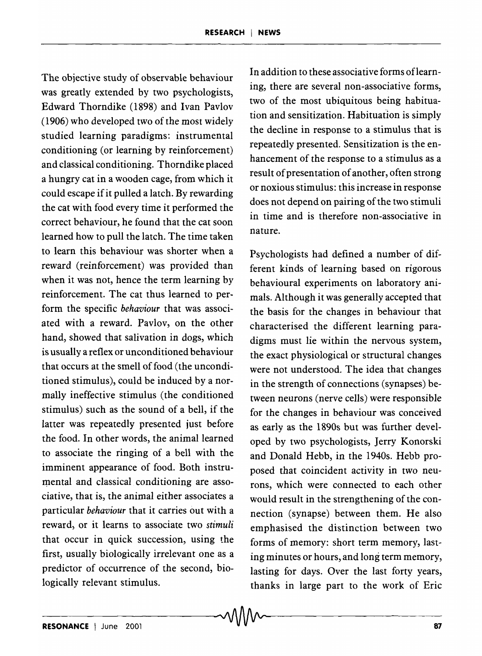The objective study of observable behaviour was greatly extended by two psychologists, Edward Thorndike (1898) and Ivan Pavlov (1906) who developed two of the most widely studied learning paradigms: instrumental conditioning (or learning by reinforcement) and classical conditioning. Thorndike placed a hungry cat in a wooden cage, from which it could escape if it pulled a latch. By rewarding the cat with food every time it performed the correct behaviour, he found that the cat soon learned how to pull the latch. The time taken to learn this behaviour was shorter when a reward (reinforcement) was provided than when it was not, hence the term learning by reinforcement. The cat thus learned to perform the specific *behaviour* that was associated with a reward. Pavlov, on the other hand, showed that salivation in dogs, which is usually a reflex or unconditioned behaviour that occurs at the smell of food (the unconditioned stimulus), could be induced by a normally ineffective stimulus (the conditioned stimulus) such as the sound of a bell, if the latter was repeatedly presented just before the food. In other words, the animal learned to associate the ringing of a bell with the imminent appearance of food. Both instrumental and classical conditioning are associative, that is, the animal either associates a particular *behaviour* that it carries out with a reward, or it learns to associate two *stimuli*  that occur in quick succession, using the first, usually biologically irrelevant one as a predictor of occurrence of the second, biologically relevant stimulus.

In addition to these associative forms oflearning, there are several non-associative forms, two of the most ubiquitous being habituation and sensitization. Habituation is simply the decline in response to a stimulus that is repeatedly presented. Sensitization is the enhancement of the response to a stimulus as a result of presentation of another, often strong or noxious stimulus: this increase in response does not depend on pairing of the two stimuli in time and is therefore non-associative in nature.

Psychologists had defined a number of different kinds of learning based on rigorous behavioural experiments on laboratory animals. Although it was generally accepted that the basis for the changes in behaviour that characterised the different learning paradigms must lie within the nervous system, the exact physiological or structural changes were not understood. The idea that changes in the strength of connections (synapses) between neurons (nerve cells) were responsible for the changes in behaviour was conceived as early as the 18908 but was further developed by two psychologists, Jerry Konorski and Donald Hebb, in the *1940s.* Hebb proposed that coincident activity in two neurons, which were connected to each other would result in the strengthening of the connection (synapse) between them. He also emphasised the distinction between two forms of memory: short term memory, lasting minutes or hours, and long term memory, lasting for days. Over the last forty years, thanks in large part to the work of Eric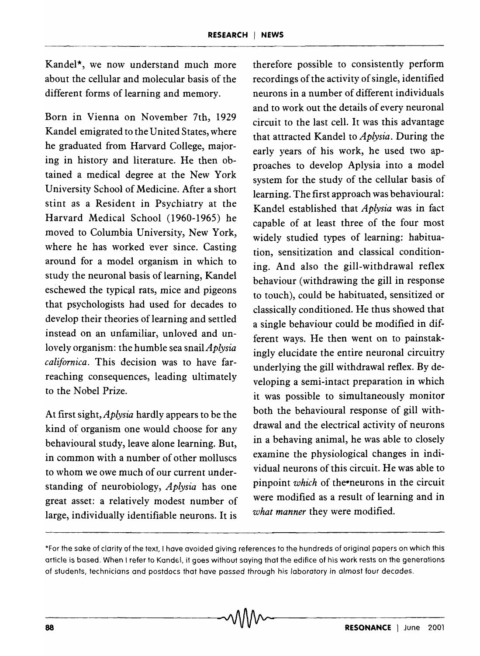Kandel\*, we now understand much more about the cellular and molecular basis of the different forms of learning and memory.

Born in Vienna on November 7th, 1929 Kandel emigrated to the United States, where he graduated from Harvard College, majoring in history and literature. He then obtained a medical degree at the New York University School of Medicine. After a short stint as a Resident in Psychiatry at the Harvard Medical School (1960-1965) he moved to Columbia University, New York, where he has worked ever since. Casting around for a model organism in which to study the neuronal basis of learning, Kandel eschewed the typical rats, mice and pigeons that psychologists had used for decades to develop their theories of learning and settled instead on an unfamiliar, unloved and unlovely organism: the humble sea snail *Aplysia californica.* This decision was to have farreaching consequences, leading ultimately to the Nobel Prize.

At first sight, *Aplysia* hardly appears to be the kind of organism one would choose for any behavioural study, leave alone learning. But, in common with a number of other molluscs to whom we owe much of our current understanding of neurobiology, *Aplysia* has one great asset: a relatively modest number of large, individually identifiable neurons. It is

therefore possible to consistently perform recordings of the activity of single, identified neurons in a number of different individuals and to work out the details of every neuronal circuit to the last cell. It was this advantage that attracted Kandel to *Aplysia*. During the early years of his work, he used two approaches to develop Aplysia into a model system for the study of the cellular basis of learning. The first approach was behavioural: Kandel established that *Aplysia* was in fact capable of at least three of the four most widely studied types of learning: habituation, sensitization and classical conditioning. And also the gill-withdrawal reflex behaviour (withdrawing the gill in response to touch), could be habituated, sensitized or classically conditioned. He thus showed that a single behaviour could be modified in different ways. He then went on to painstakingly elucidate the entire neuronal circuitry underlying the gill withdrawal reflex. By developing a semi-intact preparation in which it was possible to simultaneously monitor both the behavioural response of gill withdrawal and the electrical activity of neurons in a behaving animal, he was able to closely examine the physiological changes in individual neurons of this circuit. He was able to pinpoint *which* of the-neurons in the circuit were modified as a result of learning and in *what manner* they were modified.

 $\sim$  ,  $\sim$  ,  $\sim$  ,  $\sim$  ,  $\sim$  ,  $\sim$  ,  $\sim$  ,  $\sim$  ,  $\sim$  ,  $\sim$  ,  $\sim$  ,  $\sim$  ,  $\sim$  ,  $\sim$  ,  $\sim$  ,  $\sim$  ,  $\sim$  ,  $\sim$  ,  $\sim$  ,  $\sim$  ,  $\sim$  ,  $\sim$  ,  $\sim$  ,  $\sim$  ,  $\sim$  ,  $\sim$  ,  $\sim$  ,  $\sim$  ,  $\sim$  ,  $\sim$  ,  $\sim$  ,  $\sim$ 

<sup>\*</sup>For the sake of clarity of the text, I have avoided giving references to the hundreds of original papers on WhiCh. this article is based. When I refer to Kandel, it goes without saying that the edifice of his work rests on the generations of students, technicians and postdocs that have passed through his laboratory in almost four decades.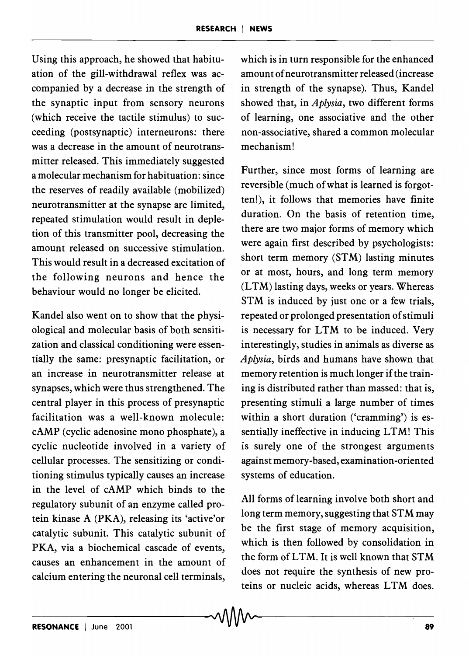Using this approach, he showed that habituation of the gill-withdrawal reflex was accompanied by a decrease in the strength of the synaptic input from sensory neurons (which receive the tactile stimulus) to succeeding (postsynaptic) interneurons: there was a decrease in the amount of neurotransmitter released. This immediately suggested a molecular mechanism for habituation: since the reserves of readily available (mobilized) neurotransmitter at the synapse are limited, repeated stimulation would result in depletion of this transmitter pool, decreasing the amount released on successive stimulation. This would result in a decreased excitation of the following neurons and hence the behaviour would no longer be elicited.

Kandel also went on to show that the physiological and molecular basis of both sensitization and classical conditioning were essentially the same: presynaptic facilitation, or an increase in neurotransmitter release at synapses, which were thus strengthened. The central player in this process of presynaptic facilitation was a well-known molecule: cAMP (cyclic adenosine mono phosphate), a cyclic nucleotide involved in a variety of cellular processes. The sensitizing or conditioning stimulus typically causes an increase in the level of cAMP which binds to the regulatory subunit of an enzyme called protein kinase A (PKA), releasing its 'active' or catalytic subunit. This catalytic subunit of PKA, via a biochemical cascade of events, causes an enhancement in the amount of calcium entering the neuronal cell terminals, which is in turn responsible for the enhanced amount of neurotransmitter released (increase in strength of the synapse). Thus, Kandel showed that, in *Aplysia,* two different forms of learning, one associative and the other non-associative, shared a common molecular mechanism!

Further, since most forms of learning are reversible (much of what is learned is forgotten!), it follows that memories have finite duration. On the basis of retention time, there are two major forms of memory which were again first described by psychologists: short term memory (STM) lasting minutes or at most, hours, and long term memory  $(LTM)$  lasting days, weeks or years. Whereas STM is induced by just one or a few trials, repeated or prolonged presentation of stimuli is necessary for LTM to be induced. Very interestingly, studies in animals as diverse as *Aplysia,* birds and humans have shown that memory retention is much longer if the training is distributed rather than massed: that is, presenting stimuli a large number of times within a short duration ('cramming') is essentially ineffective in inducing LTM! This is surely one of the strongest arguments against memory-based, examination-oriented systems of education.

All forms of learning involve both short and long term memory, suggesting that STM may be the first stage of memory acquisition, which is then followed by consolidation in the form ofLTM. It is well known that STM does not require the synthesis of new proteins or nucleic acids, whereas LTM does.